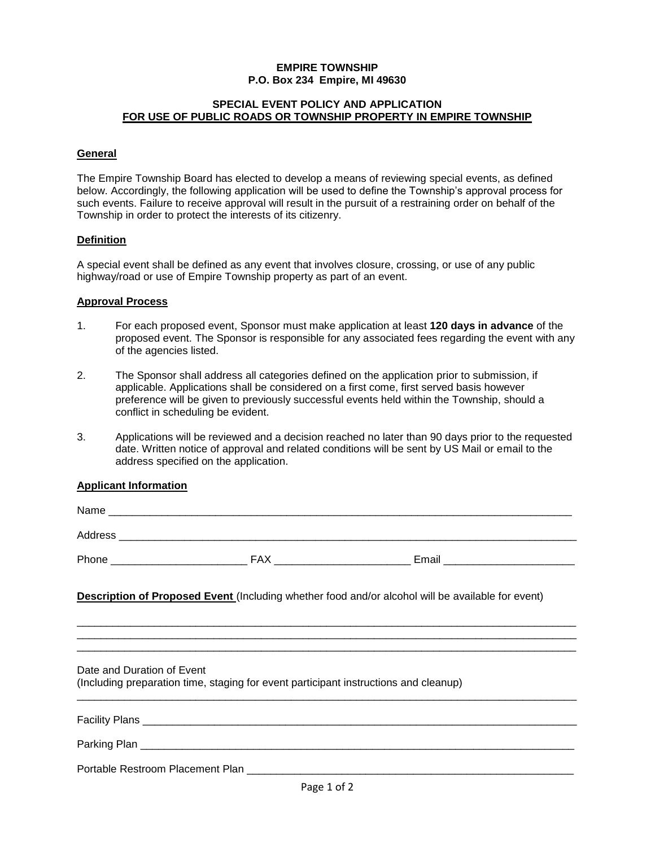# **EMPIRE TOWNSHIP P.O. Box 234 Empire, MI 49630**

#### **SPECIAL EVENT POLICY AND APPLICATION FOR USE OF PUBLIC ROADS OR TOWNSHIP PROPERTY IN EMPIRE TOWNSHIP**

## **General**

The Empire Township Board has elected to develop a means of reviewing special events, as defined below. Accordingly, the following application will be used to define the Township's approval process for such events. Failure to receive approval will result in the pursuit of a restraining order on behalf of the Township in order to protect the interests of its citizenry.

#### **Definition**

A special event shall be defined as any event that involves closure, crossing, or use of any public highway/road or use of Empire Township property as part of an event.

# **Approval Process**

- 1. For each proposed event, Sponsor must make application at least **120 days in advance** of the proposed event. The Sponsor is responsible for any associated fees regarding the event with any of the agencies listed.
- 2. The Sponsor shall address all categories defined on the application prior to submission, if applicable. Applications shall be considered on a first come, first served basis however preference will be given to previously successful events held within the Township, should a conflict in scheduling be evident.
- 3. Applications will be reviewed and a decision reached no later than 90 days prior to the requested date. Written notice of approval and related conditions will be sent by US Mail or email to the address specified on the application.

# **Applicant Information**

|                            |                                                                                      | <b>Description of Proposed Event</b> (Including whether food and/or alcohol will be available for event) |  |
|----------------------------|--------------------------------------------------------------------------------------|----------------------------------------------------------------------------------------------------------|--|
| Date and Duration of Event | (Including preparation time, staging for event participant instructions and cleanup) |                                                                                                          |  |
|                            |                                                                                      |                                                                                                          |  |
|                            |                                                                                      |                                                                                                          |  |
|                            |                                                                                      |                                                                                                          |  |